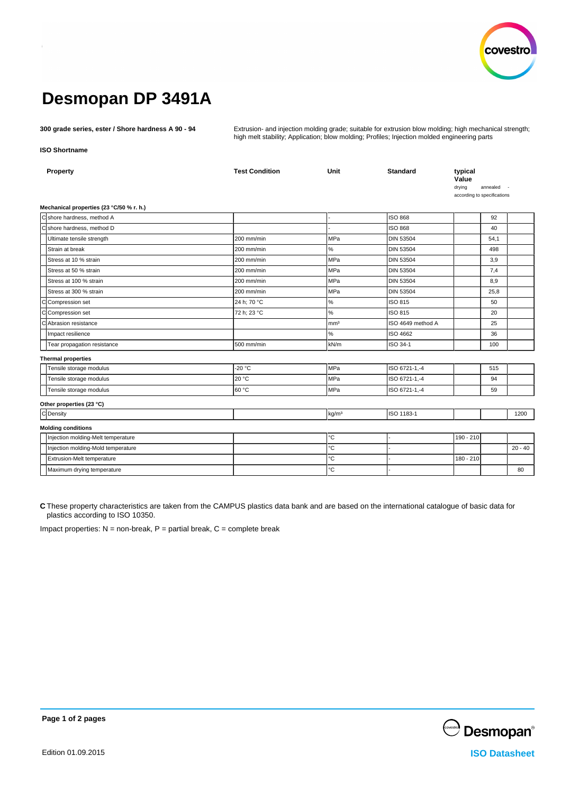

# **Desmopan DP 3491A**

**300 grade series, ester / Shore hardness A 90 - 94** Extrusion- and injection molding grade; suitable for extrusion blow molding; high mechanical strength; high melt stability; Application; blow molding; Profiles; Injection molded engineering parts

# **ISO Shortname**

| Property                                 | <b>Test Condition</b> | Unit              | <b>Standard</b>   | typical<br>Value<br>drying<br>according to specifications | annealed |           |
|------------------------------------------|-----------------------|-------------------|-------------------|-----------------------------------------------------------|----------|-----------|
| Mechanical properties (23 °C/50 % r. h.) |                       |                   |                   |                                                           |          |           |
| C shore hardness, method A               |                       |                   | <b>ISO 868</b>    |                                                           | 92       |           |
| C shore hardness, method D               |                       |                   | <b>ISO 868</b>    |                                                           | 40       |           |
| Ultimate tensile strength                | 200 mm/min            | MPa               | <b>DIN 53504</b>  |                                                           | 54,1     |           |
| Strain at break                          | 200 mm/min            | $\%$              | <b>DIN 53504</b>  |                                                           | 498      |           |
| Stress at 10 % strain                    | 200 mm/min            | MPa               | <b>DIN 53504</b>  |                                                           | 3,9      |           |
| Stress at 50 % strain                    | 200 mm/min            | MPa               | <b>DIN 53504</b>  |                                                           | 7,4      |           |
| Stress at 100 % strain                   | 200 mm/min            | MPa               | <b>DIN 53504</b>  |                                                           | 8,9      |           |
| Stress at 300 % strain                   | 200 mm/min            | MPa               | <b>DIN 53504</b>  |                                                           | 25,8     |           |
| C Compression set                        | 24 h; 70 °C           | $\%$              | ISO 815           |                                                           | 50       |           |
| C Compression set                        | 72 h; 23 °C           | $\%$              | ISO 815           |                                                           | 20       |           |
| C Abrasion resistance                    |                       | mm <sup>3</sup>   | ISO 4649 method A |                                                           | 25       |           |
| Impact resilience                        |                       | %                 | ISO 4662          |                                                           | 36       |           |
| Tear propagation resistance              | 500 mm/min            | kN/m              | ISO 34-1          |                                                           | 100      |           |
| <b>Thermal properties</b>                |                       |                   |                   |                                                           |          |           |
| Tensile storage modulus                  | $-20 °C$              | <b>MPa</b>        | ISO 6721-1,-4     |                                                           | 515      |           |
| Tensile storage modulus                  | 20 °C                 | MPa               | ISO 6721-1,-4     |                                                           | 94       |           |
| Tensile storage modulus                  | l60 °C                | <b>MPa</b>        | ISO 6721-1,-4     |                                                           | 59       |           |
| Other properties (23 °C)                 |                       |                   |                   |                                                           |          |           |
| C Density                                |                       | kg/m <sup>3</sup> | ISO 1183-1        |                                                           |          | 1200      |
| <b>Molding conditions</b>                |                       |                   |                   |                                                           |          |           |
| Injection molding-Melt temperature       |                       | °C                |                   | 190 - 210                                                 |          |           |
| Injection molding-Mold temperature       |                       | °C                |                   |                                                           |          | $20 - 40$ |
| Extrusion-Melt temperature               |                       | °C                |                   | 180 - 210                                                 |          |           |
| Maximum drying temperature               |                       | °C                |                   |                                                           |          | 80        |
|                                          |                       |                   |                   |                                                           |          |           |

**C** These property characteristics are taken from the CAMPUS plastics data bank and are based on the international catalogue of basic data for plastics according to ISO 10350.

Impact properties:  $N =$  non-break,  $P =$  partial break,  $C =$  complete break